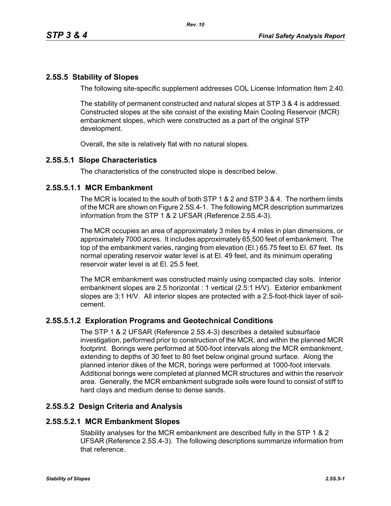# **2.5S.5 Stability of Slopes**

The following site-specific supplement addresses COL License Information Item 2.40.

The stability of permanent constructed and natural slopes at STP 3 & 4 is addressed. Constructed slopes at the site consist of the existing Main Cooling Reservoir (MCR) embankment slopes, which were constructed as a part of the original STP development.

Overall, the site is relatively flat with no natural slopes.

## **2.5S.5.1 Slope Characteristics**

The characteristics of the constructed slope is described below.

## **2.5S.5.1.1 MCR Embankment**

The MCR is located to the south of both STP 1 & 2 and STP 3 & 4. The northern limits of the MCR are shown on Figure 2.5S.4-1. The following MCR description summarizes information from the STP 1 & 2 UFSAR (Reference 2.5S.4-3).

The MCR occupies an area of approximately 3 miles by 4 miles in plan dimensions, or approximately 7000 acres. It includes approximately 65,500 feet of embankment. The top of the embankment varies, ranging from elevation (El.) 65.75 feet to El. 67 feet. Its normal operating reservoir water level is at El. 49 feet, and its minimum operating reservoir water level is at El. 25.5 feet.

The MCR embankment was constructed mainly using compacted clay soils. Interior embankment slopes are 2.5 horizontal : 1 vertical (2.5:1 H/V). Exterior embankment slopes are 3:1 H/V. All interior slopes are protected with a 2.5-foot-thick layer of soilcement.

# **2.5S.5.1.2 Exploration Programs and Geotechnical Conditions**

The STP 1 & 2 UFSAR (Reference 2.5S.4-3) describes a detailed subsurface investigation, performed prior to construction of the MCR, and within the planned MCR footprint. Borings were performed at 500-foot intervals along the MCR embankment, extending to depths of 30 feet to 80 feet below original ground surface. Along the planned interior dikes of the MCR, borings were performed at 1000-foot intervals. Additional borings were completed at planned MCR structures and within the reservoir area. Generally, the MCR embankment subgrade soils were found to consist of stiff to hard clays and medium dense to dense sands.

# **2.5S.5.2 Design Criteria and Analysis**

### **2.5S.5.2.1 MCR Embankment Slopes**

Stability analyses for the MCR embankment are described fully in the STP 1 & 2 UFSAR (Reference 2.5S.4-3). The following descriptions summarize information from that reference.